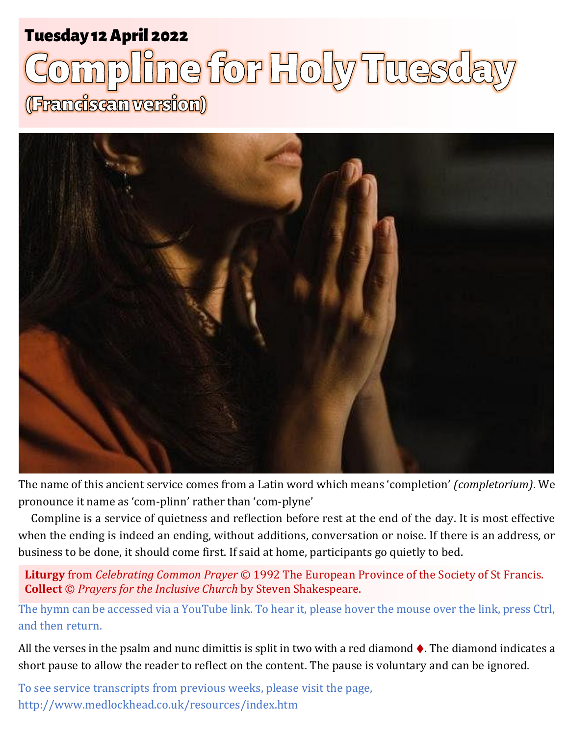## Tuesday 12 April 2022 1 **Holy Tuesday** Tuesday 12 April 2022

# ne for Holy Tuesd (Franciscan version)



The name of this ancient service comes from a Latin word which means 'completion' *(completorium)*. We pronounce it name as 'com-plinn' rather than 'com-plyne'

Compline is a service of quietness and reflection before rest at the end of the day. It is most effective when the ending is indeed an ending, without additions, conversation or noise. If there is an address, or business to be done, it should come first. If said at home, participants go quietly to bed.

**Liturgy** from *Celebrating Common Prayer* © 1992 The European Province of the Society of St Francis. **Collect** © *Prayers for the Inclusive Church* by Steven Shakespeare.

The hymn can be accessed via a YouTube link. To hear it, please hover the mouse over the link, press Ctrl, and then return.

All the verses in the psalm and nunc dimittis is split in two with a red diamond  $\lozenge$ . The diamond indicates a short pause to allow the reader to reflect on the content. The pause is voluntary and can be ignored.

To see service transcripts from previous weeks, please visit the page, <http://www.medlockhead.co.uk/resources/index.htm>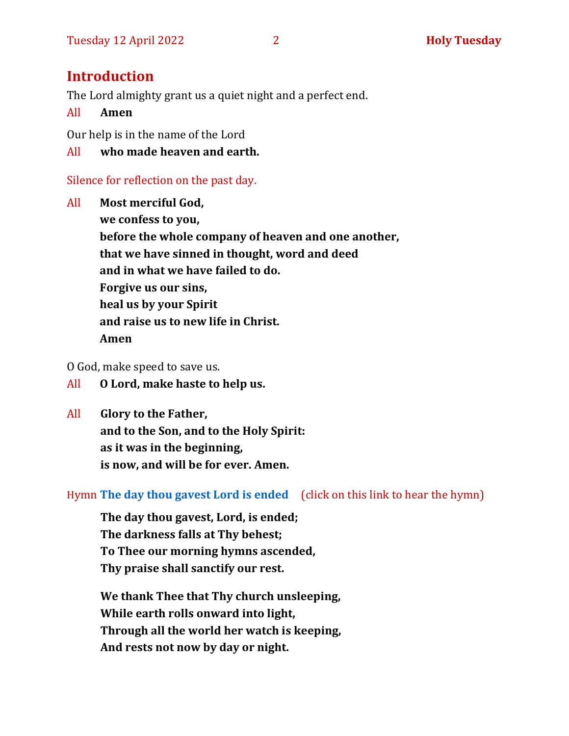## **Introduction**

The Lord almighty grant us a quiet night and a perfect end.

#### All **Amen**

Our help is in the name of the Lord

#### All **who made heaven and earth.**

#### Silence for reflection on the past day.

All **Most merciful God, we confess to you, before the whole company of heaven and one another, that we have sinned in thought, word and deed and in what we have failed to do. Forgive us our sins, heal us by your Spirit and raise us to new life in Christ. Amen**

O God, make speed to save us.

- All **O Lord, make haste to help us.**
- All **Glory to the Father, and to the Son, and to the Holy Spirit: as it was in the beginning, is now, and will be for ever. Amen.**

#### Hymn **[The day thou gavest Lord is ended](https://www.youtube.com/watch?v=eeC6M_RD3oE)** (click on this link to hear the hymn)

**The day thou gavest, Lord, is ended; The darkness falls at Thy behest; To Thee our morning hymns ascended, Thy praise shall sanctify our rest.**

**We thank Thee that Thy church unsleeping, While earth rolls onward into light, Through all the world her watch is keeping, And rests not now by day or night.**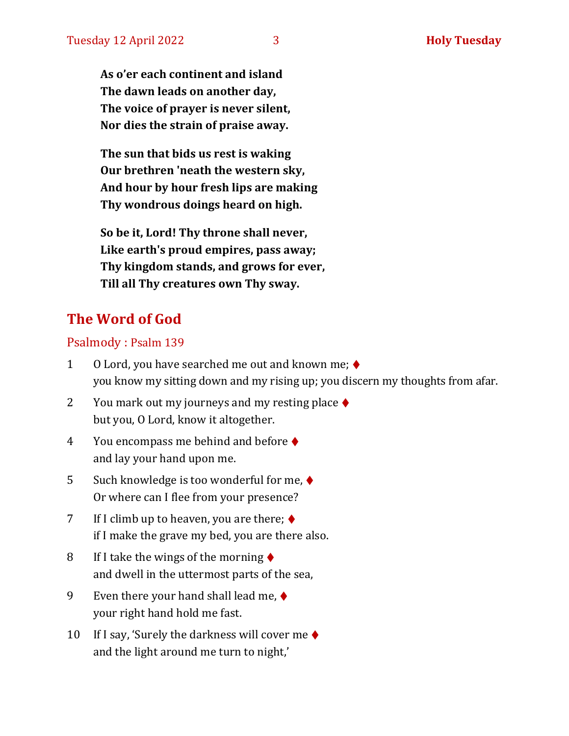**As o'er each continent and island The dawn leads on another day, The voice of prayer is never silent, Nor dies the strain of praise away.**

**The sun that bids us rest is waking Our brethren 'neath the western sky, And hour by hour fresh lips are making Thy wondrous doings heard on high.**

**So be it, Lord! Thy throne shall never, Like earth's proud empires, pass away; Thy kingdom stands, and grows for ever, Till all Thy creatures own Thy sway.**

## **The Word of God**

#### Psalmody : Psalm 139

- 1 O Lord, you have searched me out and known me; ♦ you know my sitting down and my rising up; you discern my thoughts from afar.
- 2 You mark out my journeys and my resting place  $\blacklozenge$ but you, O Lord, know it altogether.
- 4 You encompass me behind and before ♦ and lay your hand upon me.
- 5 Such knowledge is too wonderful for me, ♦ Or where can I flee from your presence?
- 7 If I climb up to heaven, you are there;  $\blacklozenge$ if I make the grave my bed, you are there also.
- 8 If I take the wings of the morning  $\triangle$ and dwell in the uttermost parts of the sea,
- 9 Even there your hand shall lead me,  $\blacklozenge$ your right hand hold me fast.
- 10 If I say, 'Surely the darkness will cover me  $\triangle$ and the light around me turn to night,'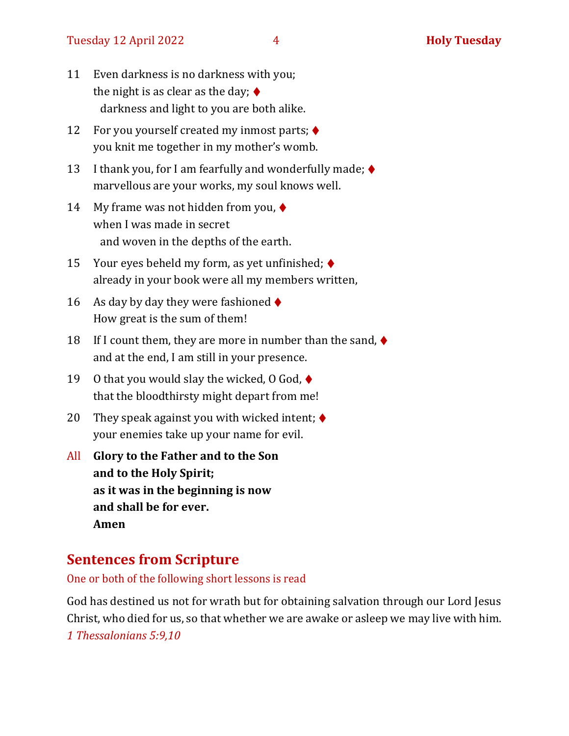#### Tuesday 12 April 2022 **4 Holy Tuesday**

- 11 Even darkness is no darkness with you; the night is as clear as the day;  $\blacklozenge$ darkness and light to you are both alike.
- 12 For you yourself created my inmost parts; ♦ you knit me together in my mother's womb.
- 13 I thank you, for I am fearfully and wonderfully made;  $\blacklozenge$ marvellous are your works, my soul knows well.
- 14 My frame was not hidden from you,  $\blacklozenge$ when I was made in secret and woven in the depths of the earth.
- 15 Your eyes beheld my form, as yet unfinished; ♦ already in your book were all my members written,
- 16 As day by day they were fashioned  $\blacklozenge$ How great is the sum of them!
- 18 If I count them, they are more in number than the sand,  $\blacklozenge$ and at the end, I am still in your presence.
- 19 O that you would slay the wicked, 0 God,  $\blacklozenge$ that the bloodthirsty might depart from me!
- 20 They speak against you with wicked intent;  $\blacklozenge$ your enemies take up your name for evil.
- All **Glory to the Father and to the Son and to the Holy Spirit; as it was in the beginning is now and shall be for ever. Amen**

## **Sentences from Scripture**

One or both of the following short lessons is read

God has destined us not for wrath but for obtaining salvation through our Lord Jesus Christ, who died for us, so that whether we are awake or asleep we may live with him. *1 Thessalonians 5:9,10*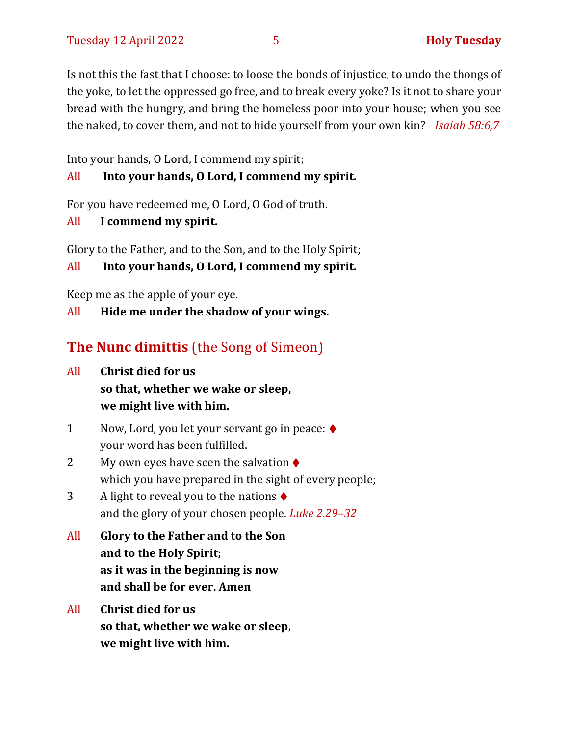Is not this the fast that I choose: to loose the bonds of injustice, to undo the thongs of the yoke, to let the oppressed go free, and to break every yoke? Is it not to share your bread with the hungry, and bring the homeless poor into your house; when you see the naked, to cover them, and not to hide yourself from your own kin? *Isaiah 58:6,7*

Into your hands, O Lord, I commend my spirit;

#### All **Into your hands, O Lord, I commend my spirit.**

For you have redeemed me, O Lord, O God of truth.

All **I commend my spirit.**

Glory to the Father, and to the Son, and to the Holy Spirit;

All **Into your hands, O Lord, I commend my spirit.**

Keep me as the apple of your eye.

All **Hide me under the shadow of your wings.**

## **The Nunc dimittis** (the Song of Simeon)

- All **Christ died for us so that, whether we wake or sleep, we might live with him.**
- 1 Now, Lord, you let your servant go in peace: ♦ your word has been fulfilled.
- 2 My own eyes have seen the salvation  $\triangle$ which you have prepared in the sight of every people;
- 3 A light to reveal you to the nations  $\blacklozenge$ and the glory of your chosen people. *Luke 2.29–32*
- All **Glory to the Father and to the Son and to the Holy Spirit; as it was in the beginning is now and shall be for ever. Amen**
- All **Christ died for us so that, whether we wake or sleep, we might live with him.**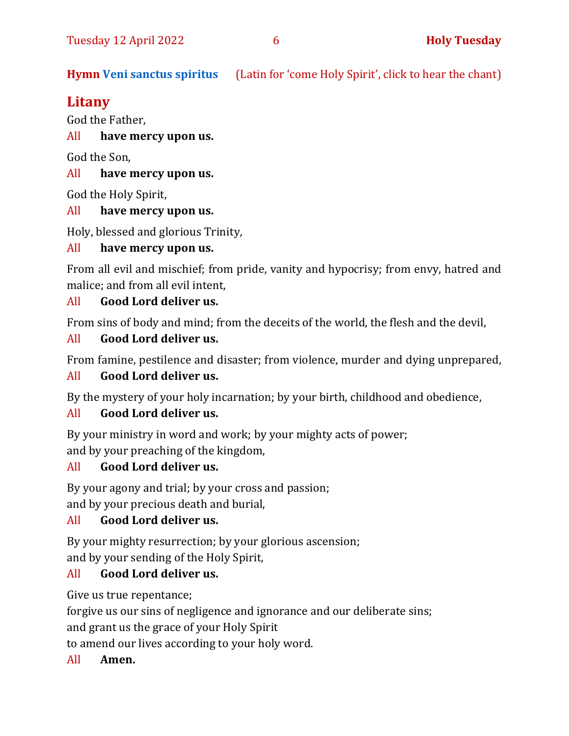**Hymn [Veni sanctus spiritus](https://www.youtube.com/watch?v=Z1fR4SV55qg)** (Latin for 'come Holy Spirit', click to hear the chant)

## **Litany**

God the Father,

All **have mercy upon us.**

God the Son,

#### All **have mercy upon us.**

God the Holy Spirit,

#### All **have mercy upon us.**

Holy, blessed and glorious Trinity,

#### All **have mercy upon us.**

From all evil and mischief; from pride, vanity and hypocrisy; from envy, hatred and malice; and from all evil intent,

#### All **Good Lord deliver us.**

From sins of body and mind; from the deceits of the world, the flesh and the devil,

#### All **Good Lord deliver us.**

From famine, pestilence and disaster; from violence, murder and dying unprepared,

#### All **Good Lord deliver us.**

By the mystery of your holy incarnation; by your birth, childhood and obedience,

#### All **Good Lord deliver us.**

By your ministry in word and work; by your mighty acts of power; and by your preaching of the kingdom,

#### All **Good Lord deliver us.**

By your agony and trial; by your cross and passion;

and by your precious death and burial,

#### All **Good Lord deliver us.**

By your mighty resurrection; by your glorious ascension; and by your sending of the Holy Spirit,

#### All **Good Lord deliver us.**

Give us true repentance;

forgive us our sins of negligence and ignorance and our deliberate sins;

and grant us the grace of your Holy Spirit

to amend our lives according to your holy word.

#### All **Amen.**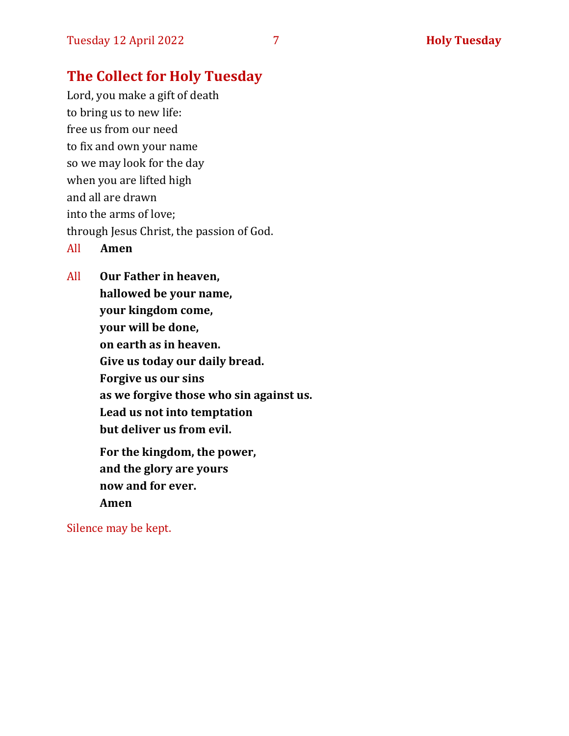## **The Collect for Holy Tuesday**

Lord, you make a gift of death to bring us to new life: free us from our need to fix and own your name so we may look for the day when you are lifted high and all are drawn into the arms of love; through Jesus Christ, the passion of God. All **Amen**

All **Our Father in heaven, hallowed be your name, your kingdom come, your will be done, on earth as in heaven. Give us today our daily bread. Forgive us our sins as we forgive those who sin against us. Lead us not into temptation but deliver us from evil. For the kingdom, the power, and the glory are yours now and for ever.** 

**Amen**

Silence may be kept.